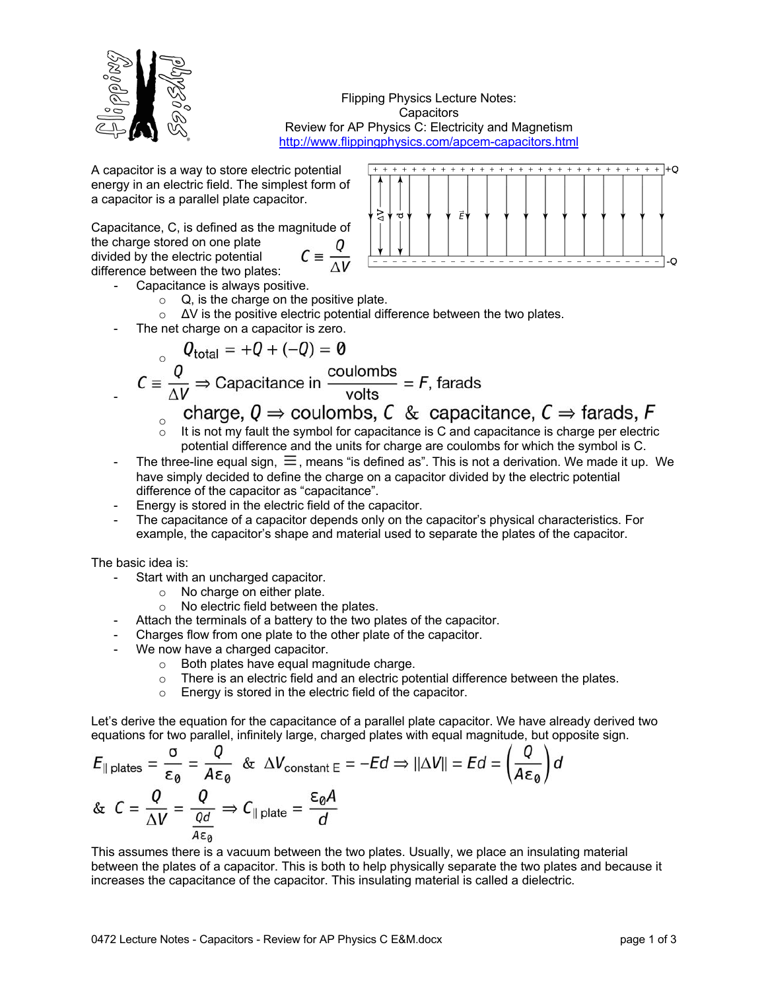

Flipping Physics Lecture Notes: **Capacitors** Review for AP Physics C: Electricity and Magnetism http://www.flippingphysics.com/apcem-capacitors.html

A capacitor is a way to store electric potential energy in an electric field. The simplest form of a capacitor is a parallel plate capacitor.

Capacitance, C, is defined as the magnitude of the charge stored on one plate  $C \equiv \frac{Q}{\Delta V}$ divided by the electric potential difference between the two plates:

- Capacitance is always positive.
	- $\circ$  Q, is the charge on the positive plate.
	- o ΔV is the positive electric potential difference between the two plates.
- The net charge on a capacitor is zero.

$$
Q_{\text{total}} = +Q + (-Q) = 0
$$
  
 $C \equiv \frac{Q}{\Delta V} \Rightarrow \text{Capacitance in } \frac{\text{coulombs}}{\text{volts}} = F, \text{ farads}$ 

- charge,  $0 \Rightarrow$  coulombs, C & capacitance,  $C \Rightarrow$  farads, F
- o It is not my fault the symbol for capacitance is C and capacitance is charge per electric potential difference and the units for charge are coulombs for which the symbol is C.
- The three-line equal sign,  $\equiv$ , means "is defined as". This is not a derivation. We made it up. We have simply decided to define the charge on a capacitor divided by the electric potential difference of the capacitor as "capacitance".
- Energy is stored in the electric field of the capacitor.
- The capacitance of a capacitor depends only on the capacitor's physical characteristics. For example, the capacitor's shape and material used to separate the plates of the capacitor.

The basic idea is:

-

- Start with an uncharged capacitor.
	- o No charge on either plate.
	- o No electric field between the plates.
- Attach the terminals of a battery to the two plates of the capacitor.
- Charges flow from one plate to the other plate of the capacitor.
- We now have a charged capacitor.
	- $\circ$  Both plates have equal magnitude charge.<br>  $\circ$  There is an electric field and an electric pot
	- There is an electric field and an electric potential difference between the plates.
	- o Energy is stored in the electric field of the capacitor.

Let's derive the equation for the capacitance of a parallel plate capacitor. We have already derived two equations for two parallel, infinitely large, charged plates with equal magnitude, but opposite sign.

$$
E_{\parallel \text{ plates}} = \frac{\sigma}{\epsilon_{\theta}} = \frac{Q}{A\epsilon_{\theta}} \& \Delta V_{\text{constant}} = -Ed \Rightarrow ||\Delta V|| = Ed = \left(\frac{Q}{A\epsilon_{\theta}}\right)d
$$
  
& 
$$
C = \frac{Q}{\Delta V} = \frac{Q}{\frac{Qd}{A\epsilon_{\theta}}} \Rightarrow C_{\parallel \text{plate}} = \frac{\epsilon_{\theta}A}{d}
$$

This assumes there is a vacuum between the two plates. Usually, we place an insulating material between the plates of a capacitor. This is both to help physically separate the two plates and because it increases the capacitance of the capacitor. This insulating material is called a dielectric.

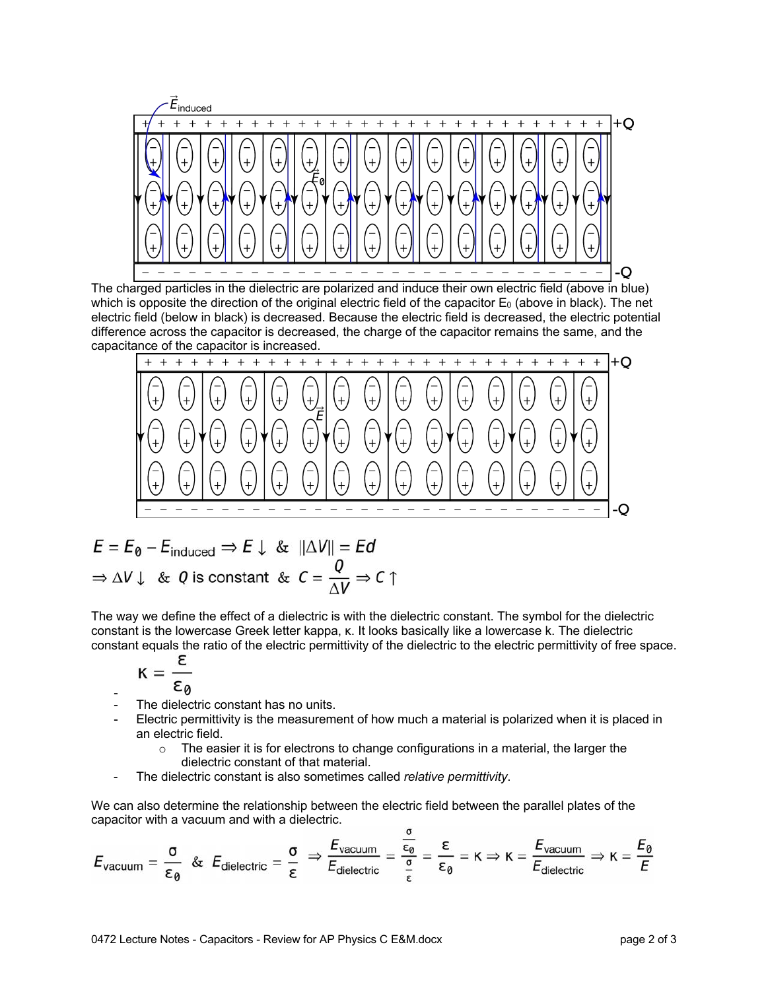

The charged particles in the dielectric are polarized and induce their own electric field (above in blue) which is opposite the direction of the original electric field of the capacitor  $E_0$  (above in black). The net electric field (below in black) is decreased. Because the electric field is decreased, the electric potential difference across the capacitor is decreased, the charge of the capacitor remains the same, and the capacitance of the capacitor is increased.



$$
E = E_0 - E_{induced} \Rightarrow E \downarrow \& \|\Delta V\| = Ed
$$
  
\n
$$
\Rightarrow \Delta V \downarrow \& Q \text{ is constant} \& C = \frac{Q}{\Delta V} \Rightarrow C \uparrow
$$

The way we define the effect of a dielectric is with the dielectric constant. The symbol for the dielectric constant is the lowercase Greek letter kappa, κ. It looks basically like a lowercase k. The dielectric constant equals the ratio of the electric permittivity of the dielectric to the electric permittivity of free space.

$$
K=\frac{\epsilon}{\epsilon_a}
$$

- The dielectric constant has no units.
- Electric permittivity is the measurement of how much a material is polarized when it is placed in an electric field.
	- $\circ$  The easier it is for electrons to change configurations in a material, the larger the dielectric constant of that material.
- The dielectric constant is also sometimes called *relative permittivity*.

We can also determine the relationship between the electric field between the parallel plates of the capacitor with a vacuum and with a dielectric.

$$
E_{\text{vacuum}} = \frac{\sigma}{\epsilon_0} \& E_{\text{dielectric}} = \frac{\sigma}{\epsilon} \Rightarrow \frac{E_{\text{vacuum}}}{E_{\text{dielectric}}} = \frac{\frac{\sigma}{\epsilon_0}}{\frac{\sigma}{\epsilon}} = \frac{\epsilon}{\epsilon_0} = \kappa \Rightarrow \kappa = \frac{E_{\text{vacuum}}}{E_{\text{dielectric}}} \Rightarrow \kappa = \frac{E_0}{E}
$$